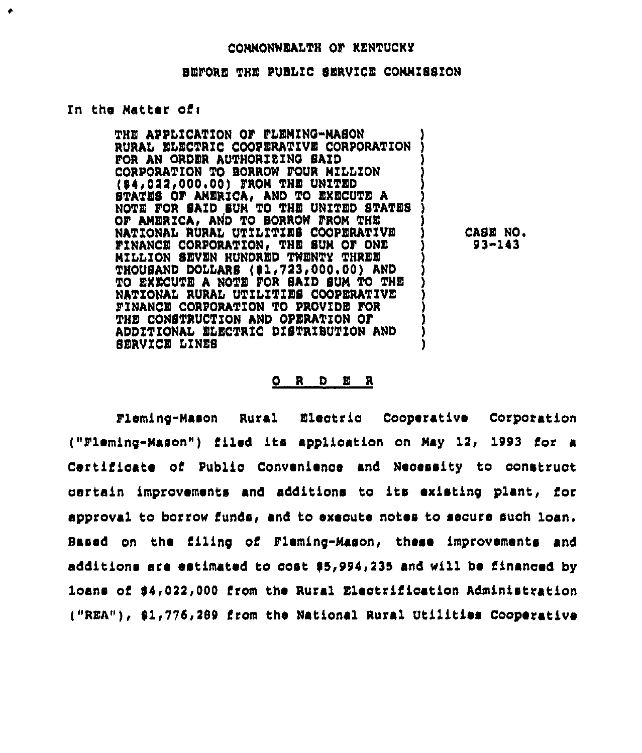## CONNONWEALTH OF KENTUCKY

## BEFORE THE PUBLIC SERVICE COMMISSION

## In the Matter of:

THE APPLICATION OF FLEMING-MASON RURAL ELECTRIC COOPERATIVE CORPORATION FOR AN ORDER AUTHORIZING SAID CORPORATION TO BORROW FOUR MILLION (\$4,022,000.00) FROM THE UNITED STATES OF AMERICA, AND TO EXECUTE A NOTE FOR SAID SUM TO THE UNITED STATES OF AMERICA, AND TO BORROW FROM THE NATIONAL RURAL UTILITIES COOPERATIVE FINANCE CORPORATION, THE SUM OF ONE MILLION SEVEN HUNDRED TWENTY THREE THOUSAND DOLLARS (\$1,723,000.00) AND TO EXECUTE A NOTE FOR SAID SUM TO THE NATIONAL RURAL UTILITIES COOPERATIVE FINANCE CORPORATION TO PROVIDE FOR THE CONSTRUCTION AND OPERATION OF ADDITIONAL ELECTRIC DISTRIBUTION AND SERVICE LINES

CASE NO.  $93 - 143$ 

## $O$  R  $O$  E R

Fleming-Mason Rural Electric Cooperative Corporation ("Fleming-Mason") filed its application on May 12, 1993 for a Certificate of Public Convenience and Necessity to construct certain improvements and additions to its existing plant, for approval to borrow funds, and to execute notes to secure such loan. Based on the filing of Fleming-Mason, these improvements and additions are estimated to gost \$5,994,235 and will be financed by loans of \$4,022,000 from the Rural Electrification Administration ("REA"), \$1,776,289 from the National Rural Utilities Cooperative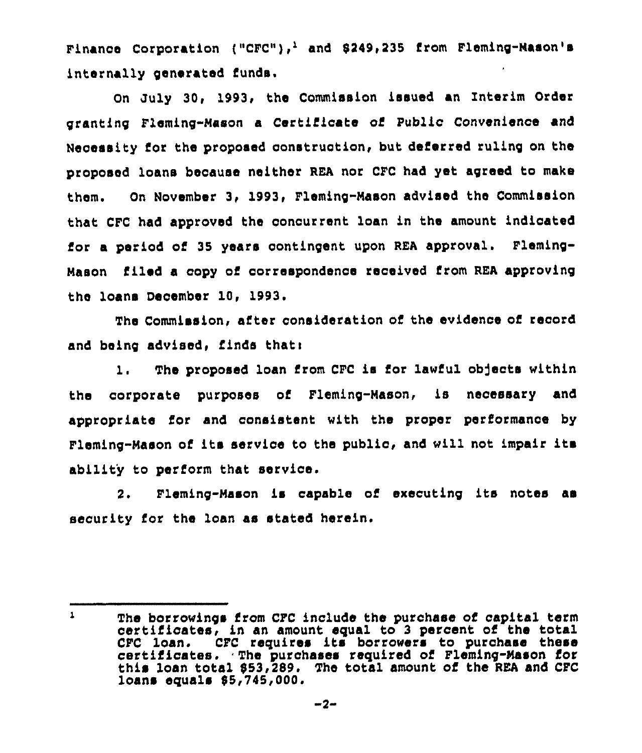Finance Corporation ("CFC"),<sup>1</sup> and 8249,235 from Fleming-Mason's internally generated funds.

On July 30, 1993, the Commission issued an Interim Order granting Fleming-Mason a Certificate of Public Convenience and Necessity for the proposed construction, but deferred ruling on the proposed loans because neither REA nor CFC had yet agreed to make them. On November 3, 1993, Fleming-Mason advised the Commission that CFC had approved the concurrent loan in the amount indicated for a period of 35 years contingent upon REA approval. Fleming-Mason filed a copy of correspondence received from REA approving the loans December 10, 1993.

The Commission, alter consideration of the evidence of record and being advised, finds thati

1. The proposed loan from CFC is for lawful objects within the corporate purposes of Fleming-Mason, is necessary and appropriate for and consistent with the proper performance by Fleming-Mason of its service to the public, and will not impair its ability to perform that service.

2. Fleming-Mason is capable of executing its notes as security for the loan as stated herein,

 $\mathbf{1}$ The borrowings from CFC include the purchase of capital term certificates, in an amount equal to 3 percent of the total CFC loan. CFC requires its borrowers to purchase these certificates. The purchases required of Fleming-Mason for this loan total 853,289. The total amount of the REA and CFC loans equals 85,745,000.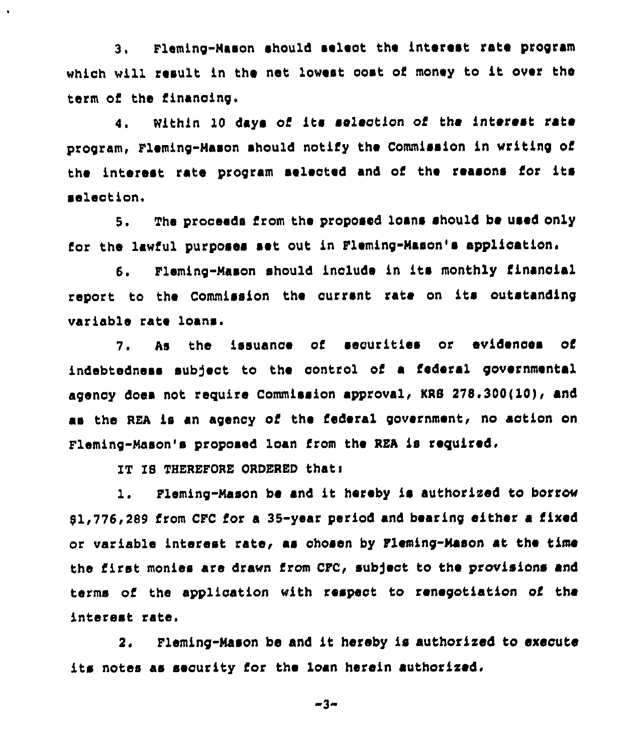3, Fleming-Nason should select the interest rate pxogram which will result in the net lowest cost of money to it over the term of the financing.

4. Within 10 days of its selection of the interest rate pxogram, Fleming-Mason should notify the Commission in writing of the interest rate program selected and of the reasons for its <sup>~</sup>eleotion.

5. The prooeeds from the proposed loans should be used only for the lawful purposes set out in Fleming-Mason's application.

6. Fleming-Mason should include in its monthly financial report to the Commission the current rate on its outstanding variable rate loans.

7. As the issuance oi securities or evidences of indebtedness subject to the control of a federal governmental agency does not require Commission approval, KRB 278.300(10), and as the REA is an agency of the federal government, no action on Fleming-Mason's proposed loan from the REA is required.

IT IB THEREFORE ORDERED thats

 $\bullet$ 

1. Fleming-Mason be and it hereby is authorised to borrow  $81,776,289$  from CFC for a 35-year period and bearing either a fixed or variable interest rate, as chosen by Fleming-Mason at the time the first monies are drawn from CFC, subject to the provisions and terms of the application with respect to renegotiation of the interest rate.

2. Fleming-Mason be and it hereby is authorised to execute its notes as security for the loan herein authorised.

3